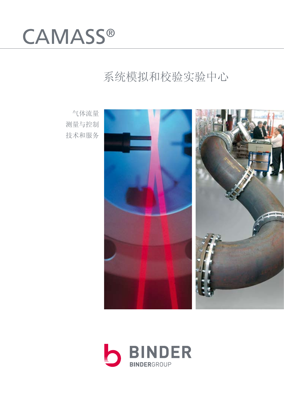

## 系统模拟和校验实验中心



气体流量 测量与控制 技术和服务

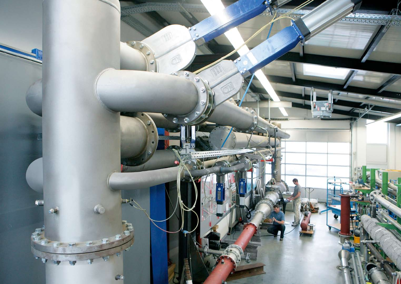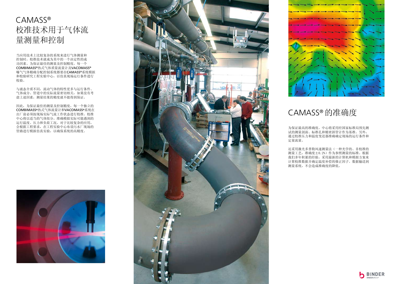## CAMASS ® 校准技术用于气体流 量测量和控制

当应用技术上比较复杂的系统来进行气体测量和 控制时,校准技术就成为其中的一个决定性的成 功因素。为保证最佳的测量及控制精度,每一个 COMBIMASS ®热式气体质量流量计及VACOMASS ® 曝气气体精确分配控制系统都要在CAMASS ®系统模拟 和校验研究工程实验中心,以仿真现场运行条件进行 校验。

与液态介质不同,流动气体的特性更多与运行条件、 气体成分、管道中的实际流量密切相关,如果没有考 虑上述因素,测量结果的精度就不能得到保证。

因此,为保证最佳的测量及控制精度,每一个独立的 COMBIMASS ®热式气体流量计和VACOMASS ®系统在 出厂前必须按现场实际气流工作状态进行校准。校准 中心将以适当的气体组分,准确模拟实际可能遇到的 运行温度、压力和负荷工况。对于比较复杂的应用, 会根据工程要求,在工程实验中心布设污水厂现场的 管路进行模拟仿真实验,以确保系统的高精度。







# CAMASS® 的准确度

为保证最高的准确度,中心将采用经国家标准局预先测 试的测量剖面、标准孔和精密斜管计作为基准。另外, 通过校准压力和温度变送器准确确定现场的运行条件和

定量流量。

还采用激光多普勒风速测量法(一种光学的、非校准的 测量工艺,准确度±0.2%)作为参照测量的标准。根据 我们多年积累的经验,采用最新的计算机和模拟方案来 计算校准数据并确定温度补偿的修正因子。数据输送到 测量系统,不会造成准确度的降低。

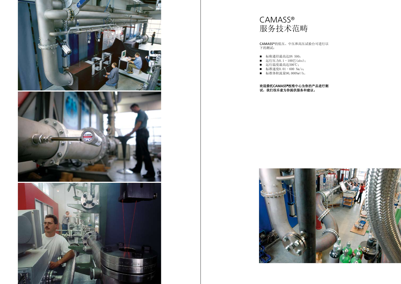



CAMASS®的低压、中压和高压试验台可进行以 下的测试:

- 标称通径最高达DN 500;
- 运行压力0.1-100巴(abs);
- 运行温度最高达500℃;
- 标准速度0.01 600 Nm/s;
- 标准体积流量90,000Nm<sup>3</sup>/h。

欢迎委托CAMASS®校准中心为你的产品进行测 试,我们很乐意为你提供服务和建议。

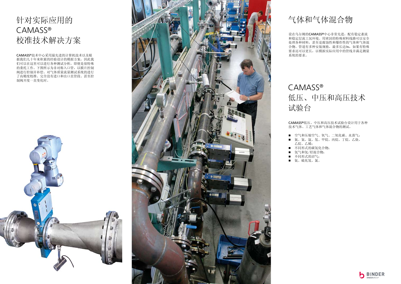## 针对实际应用的 CAMASS ® 校准技术解决方案

CAMASS ®技术中心采用最先进的计算机技术以及根 据我们几十年来积累的经验设计的模拟方案,因此我 们可以在这里可以进行各种测试分析,即便是很特殊 的委托工作。下图所示为非对称入口管,以膜片控制 阀进行控制并补偿。对气体质量流量测试系统的进行 了高精度校准、完全没有进口和出口直管段、甚至控 制阀开度一直变化时。





# 气体和气体混合物

设在乌尔姆的CAMASS ®中心非常先进,配有稳定紊流 和稳定层流工况环境。用密封的特殊材料线路可以安全 处理各种材料,甚至是腐蚀性和爆炸性的气体和气体混 合物。管道有多种安装规格,最多长达9m,如果有特殊 天,我不可以可以不知道的。 系统的要求。

CAMASS ®低压、中压和高压技术试验台设计用于各种 技术气体、工艺气体和气体混合物的测试。

■ 空气和压缩空气、氧气、二氧化碳、水蒸气; ■ 氮、氦、氩、氖、甲烷、丙烷、丁烷、乙炔、 乙烷、乙烯; 不同形式的碳氢化合物; 氢气和氢/烃混合物; ■ 不同形式的沼气; ■ 氨、硫化氢、氯。



CA MASS® 低压、中压和高压技术

# 试验台

- 
- 
- 
- -- - - -
-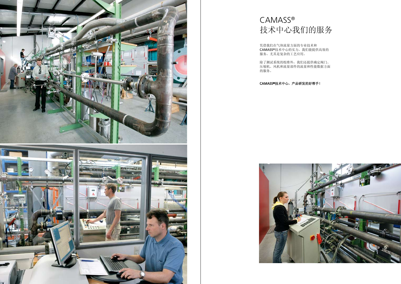

## CAMASS® 技术中心我们的服务

 凭借我们在气体流量方面的专业技术和 CAMASS®技术中心的实力,我们能提供高效的 服务,尤其是复杂的工艺应用。

除了测试系统的校准外,我们还提供确定阀门、 压缩机、风机和流量部件的流量和性能数据方面 的服务。

CAMASS®技术中心,产品研发的好帮手!